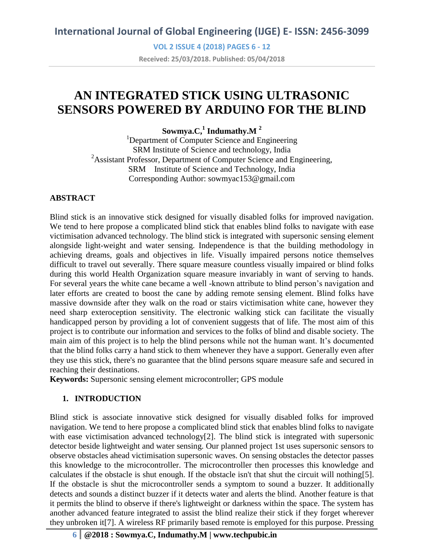**VOL 2 ISSUE 4 (2018) PAGES 6 - 12 Received: 25/03/2018. Published: 05/04/2018**

# **AN INTEGRATED STICK USING ULTRASONIC SENSORS POWERED BY ARDUINO FOR THE BLIND**

**Sowmya.C,<sup>1</sup> Indumathy.M <sup>2</sup>**

<sup>1</sup>Department of Computer Science and Engineering SRM Institute of Science and technology, India <sup>2</sup>Assistant Professor, Department of Computer Science and Engineering, SRM Institute of Science and Technology, India Corresponding Author: sowmyac153@gmail.com

## **ABSTRACT**

Blind stick is an innovative stick designed for visually disabled folks for improved navigation. We tend to here propose a complicated blind stick that enables blind folks to navigate with ease victimisation advanced technology. The blind stick is integrated with supersonic sensing element alongside light-weight and water sensing. Independence is that the building methodology in achieving dreams, goals and objectives in life. Visually impaired persons notice themselves difficult to travel out severally. There square measure countless visually impaired or blind folks during this world Health Organization square measure invariably in want of serving to hands. For several years the white cane became a well -known attribute to blind person's navigation and later efforts are created to boost the cane by adding remote sensing element. Blind folks have massive downside after they walk on the road or stairs victimisation white cane, however they need sharp exteroception sensitivity. The electronic walking stick can facilitate the visually handicapped person by providing a lot of convenient suggests that of life. The most aim of this project is to contribute our information and services to the folks of blind and disable society. The main aim of this project is to help the blind persons while not the human want. It's documented that the blind folks carry a hand stick to them whenever they have a support. Generally even after they use this stick, there's no guarantee that the blind persons square measure safe and secured in reaching their destinations.

**Keywords:** Supersonic sensing element microcontroller; GPS module

## **1. INTRODUCTION**

Blind stick is associate innovative stick designed for visually disabled folks for improved navigation. We tend to here propose a complicated blind stick that enables blind folks to navigate with ease victimisation advanced technology[2]. The blind stick is integrated with supersonic detector beside lightweight and water sensing. Our planned project 1st uses supersonic sensors to observe obstacles ahead victimisation supersonic waves. On sensing obstacles the detector passes this knowledge to the microcontroller. The microcontroller then processes this knowledge and calculates if the obstacle is shut enough. If the obstacle isn't that shut the circuit will nothing[5]. If the obstacle is shut the microcontroller sends a symptom to sound a buzzer. It additionally detects and sounds a distinct buzzer if it detects water and alerts the blind. Another feature is that it permits the blind to observe if there's lightweight or darkness within the space. The system has another advanced feature integrated to assist the blind realize their stick if they forget wherever they unbroken it[7]. A wireless RF primarily based remote is employed for this purpose. Pressing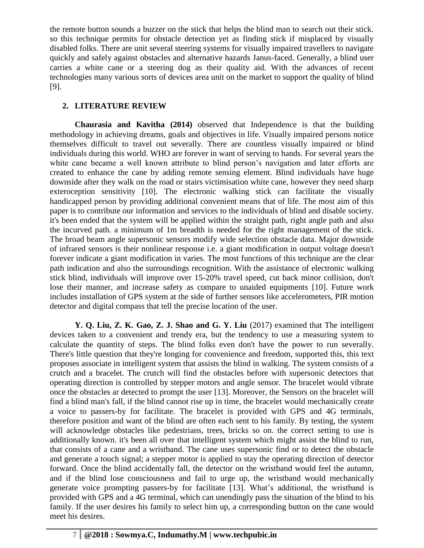the remote button sounds a buzzer on the stick that helps the blind man to search out their stick. so this technique permits for obstacle detection yet as finding stick if misplaced by visually disabled folks. There are unit several steering systems for visually impaired travellers to navigate quickly and safely against obstacles and alternative hazards Janus-faced. Generally, a blind user carries a white cane or a steering dog as their quality aid. With the advances of recent technologies many various sorts of devices area unit on the market to support the quality of blind [9].

# **2. LITERATURE REVIEW**

**Chaurasia and Kavitha (2014)** observed that Independence is that the building methodology in achieving dreams, goals and objectives in life. Visually impaired persons notice themselves difficult to travel out severally. There are countless visually impaired or blind individuals during this world. WHO are forever in want of serving to hands. For several years the white cane became a well known attribute to blind person's navigation and later efforts are created to enhance the cane by adding remote sensing element. Blind individuals have huge downside after they walk on the road or stairs victimisation white cane, however they need sharp exteroception sensitivity [10]. The electronic walking stick can facilitate the visually handicapped person by providing additional convenient means that of life. The most aim of this paper is to contribute our information and services to the individuals of blind and disable society. it's been ended that the system will be applied within the straight path, right angle path and also the incurved path. a minimum of 1m breadth is needed for the right management of the stick. The broad beam angle supersonic sensors modify wide selection obstacle data. Major downside of infrared sensors is their nonlinear response i.e. a giant modification in output voltage doesn't forever indicate a giant modification in varies. The most functions of this technique are the clear path indication and also the surroundings recognition. With the assistance of electronic walking stick blind, individuals will improve over 15-20% travel speed, cut back minor collision, don't lose their manner, and increase safety as compare to unaided equipments [10]. Future work includes installation of GPS system at the side of further sensors like accelerometers, PIR motion detector and digital compass that tell the precise location of the user.

**Y. Q. Liu, Z. K. Gao, Z. J. Shao and G. Y. Liu** (2017) examined that The intelligent devices taken to a convenient and trendy era, but the tendency to use a measuring system to calculate the quantity of steps. The blind folks even don't have the power to run severally. There's little question that they're longing for convenience and freedom, supported this, this text proposes associate in intelligent system that assists the blind in walking. The system consists of a crutch and a bracelet. The crutch will find the obstacles before with supersonic detectors that operating direction is controlled by stepper motors and angle sensor. The bracelet would vibrate once the obstacles ar detected to prompt the user [13]. Moreover, the Sensors on the bracelet will find a blind man's fall, if the blind cannot rise up in time, the bracelet would mechanically create a voice to passers-by for facilitate. The bracelet is provided with GPS and 4G terminals, therefore position and want of the blind are often each sent to his family. By testing, the system will acknowledge obstacles like pedestrians, trees, bricks so on. the correct setting to use is additionally known. it's been all over that intelligent system which might assist the blind to run, that consists of a cane and a wristband. The cane uses supersonic find or to detect the obstacle and generate a touch signal; a stepper motor is applied to stay the operating direction of detector forward. Once the blind accidentally fall, the detector on the wristband would feel the autumn, and if the blind lose consciousness and fail to urge up, the wristband would mechanically generate voice prompting passers-by for facilitate [13]. What's additional, the wristband is provided with GPS and a 4G terminal, which can unendingly pass the situation of the blind to his family. If the user desires his family to select him up, a corresponding button on the cane would meet his desires.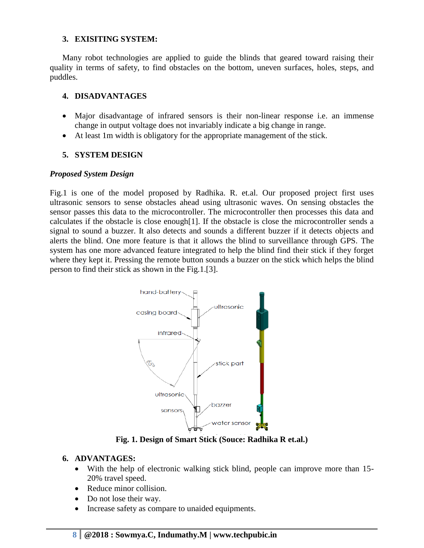### **3. EXISITING SYSTEM:**

Many robot technologies are applied to guide the blinds that geared toward raising their quality in terms of safety, to find obstacles on the bottom, uneven surfaces, holes, steps, and puddles.

#### **4. DISADVANTAGES**

- Major disadvantage of infrared sensors is their non-linear response i.e. an immense change in output voltage does not invariably indicate a big change in range.
- At least 1m width is obligatory for the appropriate management of the stick.

### **5. SYSTEM DESIGN**

#### *Proposed System Design*

Fig.1 is one of the model proposed by Radhika. R. et.al. Our proposed project first uses ultrasonic sensors to sense obstacles ahead using ultrasonic waves. On sensing obstacles the sensor passes this data to the microcontroller. The microcontroller then processes this data and calculates if the obstacle is close enough[1]. If the obstacle is close the microcontroller sends a signal to sound a buzzer. It also detects and sounds a different buzzer if it detects objects and alerts the blind. One more feature is that it allows the blind to surveillance through GPS. The system has one more advanced feature integrated to help the blind find their stick if they forget where they kept it. Pressing the remote button sounds a buzzer on the stick which helps the blind person to find their stick as shown in the Fig.1.[3].



**Fig. 1. Design of Smart Stick (Souce: Radhika R et.al.)**

#### **6. ADVANTAGES:**

- With the help of electronic walking stick blind, people can improve more than 15- 20% travel speed.
- Reduce minor collision.
- Do not lose their way.
- Increase safety as compare to unaided equipments.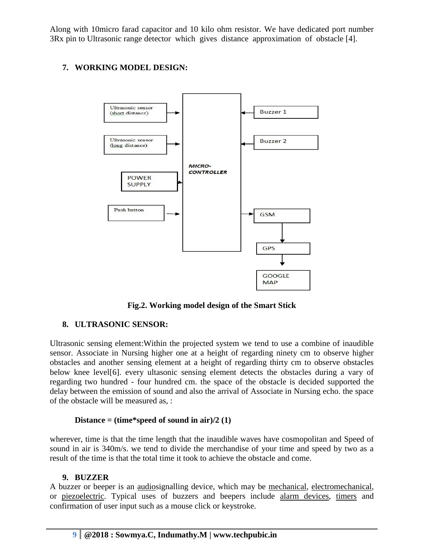Along with 10micro farad capacitor and 10 kilo ohm resistor. We have dedicated port number 3Rx pin to Ultrasonic range detector which gives distance approximation of obstacle [4].

# **7. WORKING MODEL DESIGN:**



**Fig.2. Working model design of the Smart Stick**

# **8. ULTRASONIC SENSOR:**

Ultrasonic sensing element:Within the projected system we tend to use a combine of inaudible sensor. Associate in Nursing higher one at a height of regarding ninety cm to observe higher obstacles and another sensing element at a height of regarding thirty cm to observe obstacles below knee level[6]. every ultasonic sensing element detects the obstacles during a vary of regarding two hundred - four hundred cm. the space of the obstacle is decided supported the delay between the emission of sound and also the arrival of Associate in Nursing echo. the space of the obstacle will be measured as, :

## **Distance = (time\*speed of sound in air)/2 (1)**

wherever, time is that the time length that the inaudible waves have cosmopolitan and Speed of sound in air is 340m/s. we tend to divide the merchandise of your time and speed by two as a result of the time is that the total time it took to achieve the obstacle and come.

#### **9. BUZZER**

A buzzer or beeper is an [audios](https://en.wikipedia.org/wiki/Sound)ignalling device, which may be [mechanical,](https://en.wikipedia.org/wiki/Machine) [electromechanical,](https://en.wikipedia.org/wiki/Electromechanics) or [piezoelectric.](https://en.wikipedia.org/wiki/Piezoelectricity) Typical uses of buzzers and beepers include [alarm devices,](https://en.wikipedia.org/wiki/Alarm_devices) [timers](https://en.wikipedia.org/wiki/Timer) and confirmation of user input such as a mouse click or keystroke.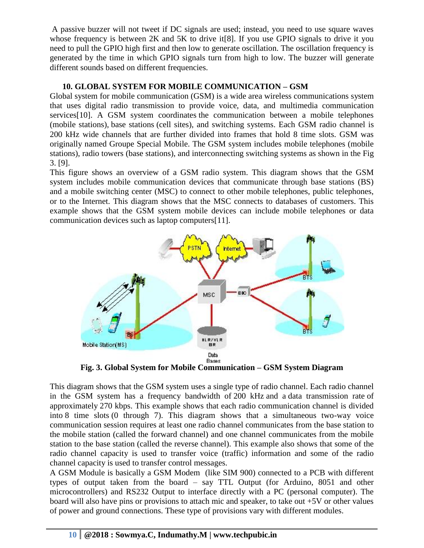A passive buzzer will not tweet if DC signals are used; instead, you need to use square waves whose frequency is between  $2K$  and  $5K$  to drive it [8]. If you use GPIO signals to drive it you need to pull the GPIO high first and then low to generate oscillation. The oscillation frequency is generated by the time in which GPIO signals turn from high to low. The buzzer will generate different sounds based on different frequencies.

# **10. GLOBAL SYSTEM FOR MOBILE COMMUNICATION – GSM**

Global system for mobile communication (GSM) is a wide area wireless communications system that uses digital radio transmission to provide voice, data, and multimedia communication services[10]. A GSM system coordinates the communication between a mobile telephones (mobile stations), base stations (cell sites), and switching systems. Each GSM radio channel is 200 kHz wide channels that are further divided into frames that hold 8 time slots. GSM was originally named Groupe Special Mobile. The GSM system includes mobile telephones (mobile stations), radio towers (base stations), and interconnecting switching systems as shown in the Fig 3. [9].

This figure shows an overview of a GSM radio system. This diagram shows that the GSM system includes mobile communication devices that communicate through base stations (BS) and a mobile switching center (MSC) to connect to other mobile telephones, public telephones, or to the Internet. This diagram shows that the MSC connects to databases of customers. This example shows that the GSM system mobile devices can include mobile telephones or data communication devices such as laptop computers[11].



This diagram shows that the GSM system uses a single type of radio channel. Each radio channel in the GSM system has a frequency bandwidth of 200 kHz and a data transmission rate of approximately 270 kbps. This example shows that each radio communication channel is divided into 8 time slots (0 through 7). This diagram shows that a simultaneous two-way voice communication session requires at least one radio channel communicates from the base station to the mobile station (called the forward channel) and one channel communicates from the mobile station to the base station (called the reverse channel). This example also shows that some of the radio channel capacity is used to transfer voice (traffic) information and some of the radio channel capacity is used to transfer control messages.

A GSM Module is basically a GSM Modem (like SIM 900) connected to a PCB with different types of output taken from the board – say TTL Output (for Arduino, 8051 and other microcontrollers) and RS232 Output to interface directly with a PC (personal computer). The board will also have pins or provisions to attach mic and speaker, to take out +5V or other values of power and ground connections. These type of provisions vary with different modules.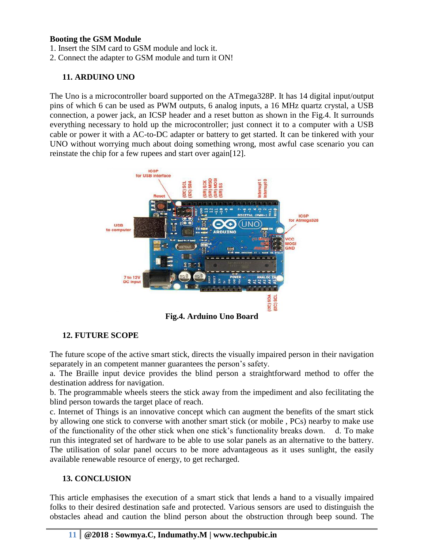### **Booting the GSM Module**

1. Insert the SIM card to GSM module and lock it.

2. Connect the adapter to GSM module and turn it ON!

## **11. ARDUINO UNO**

The Uno is a microcontroller board supported on the ATmega328P. It has 14 digital input/output pins of which 6 can be used as PWM outputs, 6 analog inputs, a 16 MHz quartz crystal, a USB connection, a power jack, an ICSP header and a reset button as shown in the Fig.4. It surrounds everything necessary to hold up the microcontroller; just connect it to a computer with a USB cable or power it with a AC-to-DC adapter or battery to get started. It can be tinkered with your UNO without worrying much about doing something wrong, most awful case scenario you can reinstate the chip for a few rupees and start over again[12].



**Fig.4. Arduino Uno Board**

# **12. FUTURE SCOPE**

The future scope of the active smart stick, directs the visually impaired person in their navigation separately in an competent manner guarantees the person's safety.

a. The Braille input device provides the blind person a straightforward method to offer the destination address for navigation.

b. The programmable wheels steers the stick away from the impediment and also fecilitating the blind person towards the target place of reach.

c. Internet of Things is an innovative concept which can augment the benefits of the smart stick by allowing one stick to converse with another smart stick (or mobile , PCs) nearby to make use of the functionality of the other stick when one stick's functionality breaks down. d. To make run this integrated set of hardware to be able to use solar panels as an alternative to the battery. The utilisation of solar panel occurs to be more advantageous as it uses sunlight, the easily available renewable resource of energy, to get recharged.

## **13. CONCLUSION**

This article emphasises the execution of a smart stick that lends a hand to a visually impaired folks to their desired destination safe and protected. Various sensors are used to distinguish the obstacles ahead and caution the blind person about the obstruction through beep sound. The